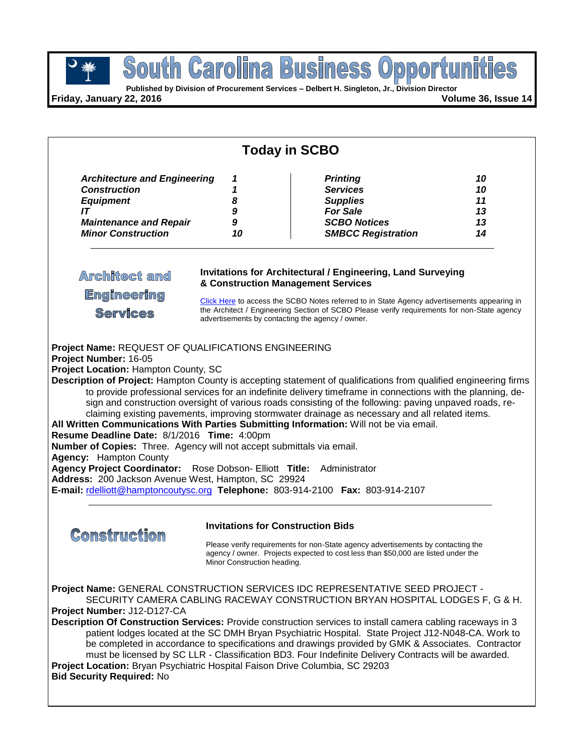

**Published by Division of Procurement Services – Delbert H. Singleton, Jr., Division Director**

**Friday, January 22, 2016 Volume 36, Issue 14**

| <b>Today in SCBO</b>                                                                                                                                                                                                                                                                                                                                                                                                                                                                                                                                                                                                                                                                                                                                                                                                                                                                                                                                                                                                                         |                                                                         |                                                                                                                                                                       |                                  |  |  |  |
|----------------------------------------------------------------------------------------------------------------------------------------------------------------------------------------------------------------------------------------------------------------------------------------------------------------------------------------------------------------------------------------------------------------------------------------------------------------------------------------------------------------------------------------------------------------------------------------------------------------------------------------------------------------------------------------------------------------------------------------------------------------------------------------------------------------------------------------------------------------------------------------------------------------------------------------------------------------------------------------------------------------------------------------------|-------------------------------------------------------------------------|-----------------------------------------------------------------------------------------------------------------------------------------------------------------------|----------------------------------|--|--|--|
| <b>Architecture and Engineering</b><br><b>Construction</b><br><b>Equipment</b><br>IT<br><b>Maintenance and Repair</b><br><b>Minor Construction</b>                                                                                                                                                                                                                                                                                                                                                                                                                                                                                                                                                                                                                                                                                                                                                                                                                                                                                           | 1<br>1<br>8<br>9<br>9<br>10                                             | <b>Printing</b><br><b>Services</b><br><b>Supplies</b><br><b>For Sale</b><br><b>SCBO Notices</b><br><b>SMBCC Registration</b>                                          | 10<br>10<br>11<br>13<br>13<br>14 |  |  |  |
| <b>Invitations for Architectural / Engineering, Land Surveying</b><br><b>Architect and</b><br>& Construction Management Services<br><b>Engineering</b><br>Click Here to access the SCBO Notes referred to in State Agency advertisements appearing in<br>the Architect / Engineering Section of SCBO Please verify requirements for non-State agency<br><b>Services</b><br>advertisements by contacting the agency / owner.                                                                                                                                                                                                                                                                                                                                                                                                                                                                                                                                                                                                                  |                                                                         |                                                                                                                                                                       |                                  |  |  |  |
| Project Name: REQUEST OF QUALIFICATIONS ENGINEERING<br>Project Number: 16-05<br>Project Location: Hampton County, SC<br>Description of Project: Hampton County is accepting statement of qualifications from qualified engineering firms<br>to provide professional services for an indefinite delivery timeframe in connections with the planning, de-<br>sign and construction oversight of various roads consisting of the following: paving unpaved roads, re-<br>claiming existing pavements, improving stormwater drainage as necessary and all related items.<br>All Written Communications With Parties Submitting Information: Will not be via email.<br>Resume Deadline Date: 8/1/2016 Time: 4:00pm<br>Number of Copies: Three. Agency will not accept submittals via email.<br><b>Agency:</b> Hampton County<br>Agency Project Coordinator: Rose Dobson- Elliott Title:<br>Administrator<br>Address: 200 Jackson Avenue West, Hampton, SC 29924<br>E-mail: rdelliott@hamptoncoutysc.org Telephone: 803-914-2100 Fax: 803-914-2107 |                                                                         |                                                                                                                                                                       |                                  |  |  |  |
| <b>Construction</b>                                                                                                                                                                                                                                                                                                                                                                                                                                                                                                                                                                                                                                                                                                                                                                                                                                                                                                                                                                                                                          | <b>Invitations for Construction Bids</b><br>Minor Construction heading. | Please verify requirements for non-State agency advertisements by contacting the<br>agency / owner. Projects expected to cost less than \$50,000 are listed under the |                                  |  |  |  |
| Project Name: GENERAL CONSTRUCTION SERVICES IDC REPRESENTATIVE SEED PROJECT -<br>SECURITY CAMERA CABLING RACEWAY CONSTRUCTION BRYAN HOSPITAL LODGES F, G & H.<br>Project Number: J12-D127-CA<br>Description Of Construction Services: Provide construction services to install camera cabling raceways in 3<br>patient lodges located at the SC DMH Bryan Psychiatric Hospital. State Project J12-N048-CA. Work to<br>be completed in accordance to specifications and drawings provided by GMK & Associates. Contractor<br>must be licensed by SC LLR - Classification BD3. Four Indefinite Delivery Contracts will be awarded.<br>Project Location: Bryan Psychiatric Hospital Faison Drive Columbia, SC 29203<br><b>Bid Security Required: No</b>                                                                                                                                                                                                                                                                                         |                                                                         |                                                                                                                                                                       |                                  |  |  |  |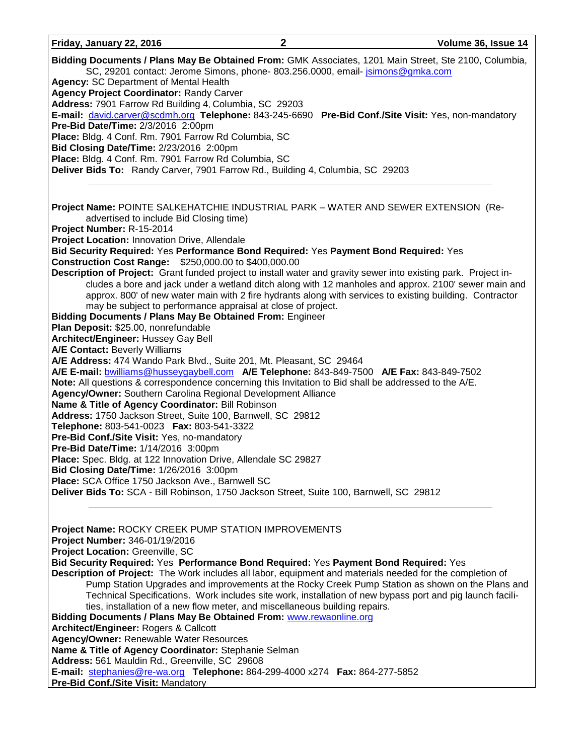| Friday, January 22, 2016                                                                              | Volume 36, Issue 14 |
|-------------------------------------------------------------------------------------------------------|---------------------|
| Didding Decumente / Blanc May Be Obtained Fram: CMK Accoriates, 1901 Main Street, Sto. 2100, Columbia |                     |

| Bidding Documents / Plans May Be Obtained From: GMK Associates, 1201 Main Street, Ste 2100, Columbia,<br>SC, 29201 contact: Jerome Simons, phone- 803.256.0000, email- jsimons@gmka.com<br><b>Agency: SC Department of Mental Health</b><br><b>Agency Project Coordinator: Randy Carver</b><br>Address: 7901 Farrow Rd Building 4, Columbia, SC 29203<br>E-mail: david.carver@scdmh.org Telephone: 843-245-6690 Pre-Bid Conf./Site Visit: Yes, non-mandatory<br>Pre-Bid Date/Time: 2/3/2016 2:00pm<br>Place: Bldg. 4 Conf. Rm. 7901 Farrow Rd Columbia, SC<br>Bid Closing Date/Time: 2/23/2016 2:00pm<br>Place: Bldg. 4 Conf. Rm. 7901 Farrow Rd Columbia, SC<br>Deliver Bids To: Randy Carver, 7901 Farrow Rd., Building 4, Columbia, SC 29203                                                                                                                                                                                     |  |  |  |  |
|-------------------------------------------------------------------------------------------------------------------------------------------------------------------------------------------------------------------------------------------------------------------------------------------------------------------------------------------------------------------------------------------------------------------------------------------------------------------------------------------------------------------------------------------------------------------------------------------------------------------------------------------------------------------------------------------------------------------------------------------------------------------------------------------------------------------------------------------------------------------------------------------------------------------------------------|--|--|--|--|
| Project Name: POINTE SALKEHATCHIE INDUSTRIAL PARK - WATER AND SEWER EXTENSION (Re-<br>advertised to include Bid Closing time)<br>Project Number: R-15-2014<br>Project Location: Innovation Drive, Allendale<br>Bid Security Required: Yes Performance Bond Required: Yes Payment Bond Required: Yes<br><b>Construction Cost Range: \$250,000.00 to \$400,000.00</b><br>Description of Project: Grant funded project to install water and gravity sewer into existing park. Project in-<br>cludes a bore and jack under a wetland ditch along with 12 manholes and approx. 2100' sewer main and<br>approx. 800' of new water main with 2 fire hydrants along with services to existing building. Contractor<br>may be subject to performance appraisal at close of project.<br><b>Bidding Documents / Plans May Be Obtained From: Engineer</b><br>Plan Deposit: \$25.00, nonrefundable<br><b>Architect/Engineer: Hussey Gay Bell</b> |  |  |  |  |
| <b>A/E Contact: Beverly Williams</b><br>A/E Address: 474 Wando Park Blvd., Suite 201, Mt. Pleasant, SC 29464<br>A/E E-mail: bwilliams@husseygaybell.com A/E Telephone: 843-849-7500 A/E Fax: 843-849-7502<br>Note: All questions & correspondence concerning this Invitation to Bid shall be addressed to the A/E.<br>Agency/Owner: Southern Carolina Regional Development Alliance<br>Name & Title of Agency Coordinator: Bill Robinson<br>Address: 1750 Jackson Street, Suite 100, Barnwell, SC 29812<br>Telephone: 803-541-0023    Fax: 803-541-3322<br>Pre-Bid Conf./Site Visit: Yes, no-mandatory<br>Pre-Bid Date/Time: 1/14/2016 3:00pm<br>Place: Spec. Bldg. at 122 Innovation Drive, Allendale SC 29827<br>Bid Closing Date/Time: 1/26/2016 3:00pm<br>Place: SCA Office 1750 Jackson Ave., Barnwell SC<br>Deliver Bids To: SCA - Bill Robinson, 1750 Jackson Street, Suite 100, Barnwell, SC 29812                          |  |  |  |  |
| Project Name: ROCKY CREEK PUMP STATION IMPROVEMENTS<br>Project Number: 346-01/19/2016<br>Project Location: Greenville, SC<br>Bid Security Required: Yes Performance Bond Required: Yes Payment Bond Required: Yes<br>Description of Project: The Work includes all labor, equipment and materials needed for the completion of<br>Pump Station Upgrades and improvements at the Rocky Creek Pump Station as shown on the Plans and<br>Technical Specifications. Work includes site work, installation of new bypass port and pig launch facili-<br>ties, installation of a new flow meter, and miscellaneous building repairs.<br>Bidding Documents / Plans May Be Obtained From: www.rewaonline.org<br>Architect/Engineer: Rogers & Callcott<br><b>Agency/Owner: Renewable Water Resources</b>                                                                                                                                     |  |  |  |  |

**Name & Title of Agency Coordinator:** Stephanie Selman

Address: 561 Mauldin Rd., Greenville, SC 29608

**E-mail:** [stephanies@re-wa.org](mailto:stephanies@re-wa.org) **Telephone:** 864-299-4000 x274 **Fax:** 864-277-5852

**Pre-Bid Conf./Site Visit: Mandatory**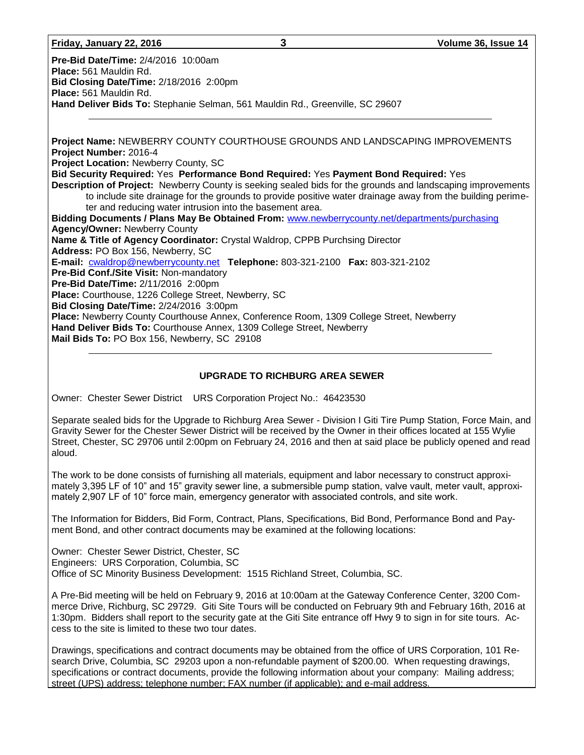| Friday, January 22, 2016 |
|--------------------------|
|--------------------------|

**Pre-Bid Date/Time:** 2/4/2016 10:00am **Place:** 561 Mauldin Rd. **Bid Closing Date/Time:** 2/18/2016 2:00pm **Place:** 561 Mauldin Rd. **Hand Deliver Bids To:** Stephanie Selman, 561 Mauldin Rd., Greenville, SC 29607

**Project Name:** NEWBERRY COUNTY COURTHOUSE GROUNDS AND LANDSCAPING IMPROVEMENTS **Project Number:** 2016-4 **Project Location:** Newberry County, SC **Bid Security Required:** Yes **Performance Bond Required:** Yes **Payment Bond Required:** Yes **Description of Project:** Newberry County is seeking sealed bids for the grounds and landscaping improvements to include site drainage for the grounds to provide positive water drainage away from the building perimeter and reducing water intrusion into the basement area. **Bidding Documents / Plans May Be Obtained From:** [www.newberrycounty.net/departments/purchasing](http://www.newberrycounty.net/departments/purchasing) **Agency/Owner:** Newberry County **Name & Title of Agency Coordinator:** Crystal Waldrop, CPPB Purchsing Director **Address:** PO Box 156, Newberry, SC **E-mail:** [cwaldrop@newberrycounty.net](mailto:cwaldrop@newberrycounty.net) **Telephone:** 803-321-2100 **Fax:** 803-321-2102 **Pre-Bid Conf./Site Visit:** Non-mandatory **Pre-Bid Date/Time:** 2/11/2016 2:00pm **Place:** Courthouse, 1226 College Street, Newberry, SC **Bid Closing Date/Time:** 2/24/2016 3:00pm **Place:** Newberry County Courthouse Annex, Conference Room, 1309 College Street, Newberry **Hand Deliver Bids To:** Courthouse Annex, 1309 College Street, Newberry **Mail Bids To:** PO Box 156, Newberry, SC 29108

### **UPGRADE TO RICHBURG AREA SEWER**

Owner: Chester Sewer District URS Corporation Project No.: 46423530

Separate sealed bids for the Upgrade to Richburg Area Sewer - Division I Giti Tire Pump Station, Force Main, and Gravity Sewer for the Chester Sewer District will be received by the Owner in their offices located at 155 Wylie Street, Chester, SC 29706 until 2:00pm on February 24, 2016 and then at said place be publicly opened and read aloud.

The work to be done consists of furnishing all materials, equipment and labor necessary to construct approximately 3,395 LF of 10" and 15" gravity sewer line, a submersible pump station, valve vault, meter vault, approximately 2,907 LF of 10" force main, emergency generator with associated controls, and site work.

The Information for Bidders, Bid Form, Contract, Plans, Specifications, Bid Bond, Performance Bond and Payment Bond, and other contract documents may be examined at the following locations:

Owner: Chester Sewer District, Chester, SC Engineers: URS Corporation, Columbia, SC Office of SC Minority Business Development: 1515 Richland Street, Columbia, SC.

A Pre-Bid meeting will be held on February 9, 2016 at 10:00am at the Gateway Conference Center, 3200 Commerce Drive, Richburg, SC 29729. Giti Site Tours will be conducted on February 9th and February 16th, 2016 at 1:30pm. Bidders shall report to the security gate at the Giti Site entrance off Hwy 9 to sign in for site tours. Access to the site is limited to these two tour dates.

Drawings, specifications and contract documents may be obtained from the office of URS Corporation, 101 Research Drive, Columbia, SC 29203 upon a non-refundable payment of \$200.00. When requesting drawings, specifications or contract documents, provide the following information about your company: Mailing address; street (UPS) address; telephone number; FAX number (if applicable); and e-mail address.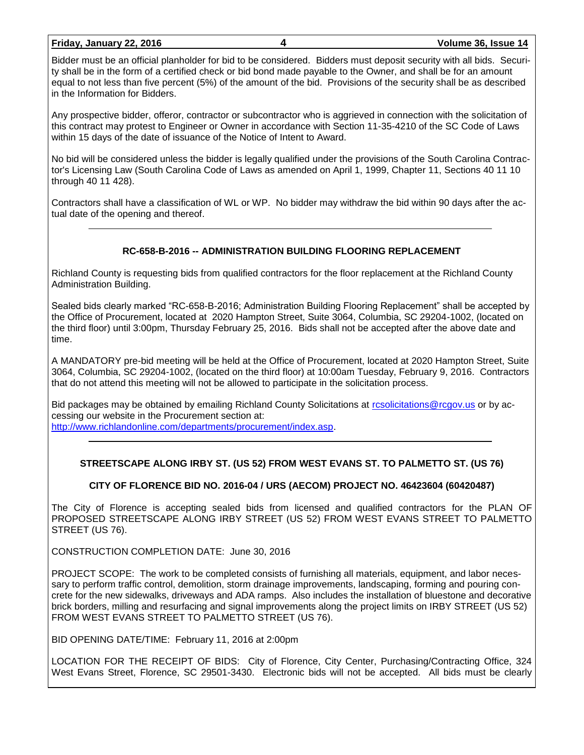#### **Friday, January 22, 2016 4 Volume 36, Issue 14**

Bidder must be an official planholder for bid to be considered. Bidders must deposit security with all bids. Security shall be in the form of a certified check or bid bond made payable to the Owner, and shall be for an amount equal to not less than five percent (5%) of the amount of the bid. Provisions of the security shall be as described in the Information for Bidders.

Any prospective bidder, offeror, contractor or subcontractor who is aggrieved in connection with the solicitation of this contract may protest to Engineer or Owner in accordance with Section 11-35-4210 of the SC Code of Laws within 15 days of the date of issuance of the Notice of Intent to Award.

No bid will be considered unless the bidder is legally qualified under the provisions of the South Carolina Contractor's Licensing Law (South Carolina Code of Laws as amended on April 1, 1999, Chapter 11, Sections 40 11 10 through 40 11 428).

Contractors shall have a classification of WL or WP. No bidder may withdraw the bid within 90 days after the actual date of the opening and thereof.

## **RC-658-B-2016 -- ADMINISTRATION BUILDING FLOORING REPLACEMENT**

Richland County is requesting bids from qualified contractors for the floor replacement at the Richland County Administration Building.

Sealed bids clearly marked "RC-658-B-2016; Administration Building Flooring Replacement" shall be accepted by the Office of Procurement, located at 2020 Hampton Street, Suite 3064, Columbia, SC 29204-1002, (located on the third floor) until 3:00pm, Thursday February 25, 2016. Bids shall not be accepted after the above date and time.

A MANDATORY pre-bid meeting will be held at the Office of Procurement, located at 2020 Hampton Street, Suite 3064, Columbia, SC 29204-1002, (located on the third floor) at 10:00am Tuesday, February 9, 2016. Contractors that do not attend this meeting will not be allowed to participate in the solicitation process.

Bid packages may be obtained by emailing Richland County Solicitations at [rcsolicitations@rcgov.us](mailto:rcsolicitations@rcgov.us) or by accessing our website in the Procurement section at: [http://www.richlandonline.com/departments/procurement/index.asp.](http://www.richlandonline.com/departments/procurement/index.asp)

## **STREETSCAPE ALONG IRBY ST. (US 52) FROM WEST EVANS ST. TO PALMETTO ST. (US 76)**

## **CITY OF FLORENCE BID NO. 2016-04 / URS (AECOM) PROJECT NO. 46423604 (60420487)**

The City of Florence is accepting sealed bids from licensed and qualified contractors for the PLAN OF PROPOSED STREETSCAPE ALONG IRBY STREET (US 52) FROM WEST EVANS STREET TO PALMETTO STREET (US 76).

CONSTRUCTION COMPLETION DATE: June 30, 2016

PROJECT SCOPE: The work to be completed consists of furnishing all materials, equipment, and labor necessary to perform traffic control, demolition, storm drainage improvements, landscaping, forming and pouring concrete for the new sidewalks, driveways and ADA ramps. Also includes the installation of bluestone and decorative brick borders, milling and resurfacing and signal improvements along the project limits on IRBY STREET (US 52) FROM WEST EVANS STREET TO PALMETTO STREET (US 76).

BID OPENING DATE/TIME: February 11, 2016 at 2:00pm

LOCATION FOR THE RECEIPT OF BIDS: City of Florence, City Center, Purchasing/Contracting Office, 324 West Evans Street, Florence, SC 29501-3430. Electronic bids will not be accepted. All bids must be clearly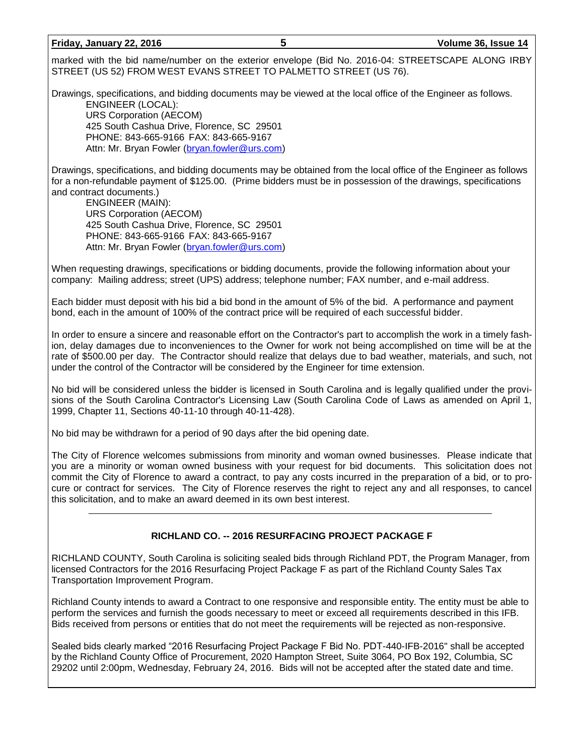#### **Friday, January 22, 2016 5 Volume 36, Issue 14**

marked with the bid name/number on the exterior envelope (Bid No. 2016-04: STREETSCAPE ALONG IRBY STREET (US 52) FROM WEST EVANS STREET TO PALMETTO STREET (US 76).

Drawings, specifications, and bidding documents may be viewed at the local office of the Engineer as follows.

ENGINEER (LOCAL): URS Corporation (AECOM) 425 South Cashua Drive, Florence, SC 29501 PHONE: 843-665-9166 FAX: 843-665-9167 Attn: Mr. Bryan Fowler [\(bryan.fowler@urs.com\)](mailto:bryan.fowler@urs.com)

Drawings, specifications, and bidding documents may be obtained from the local office of the Engineer as follows for a non-refundable payment of \$125.00. (Prime bidders must be in possession of the drawings, specifications and contract documents.)

ENGINEER (MAIN): URS Corporation (AECOM) 425 South Cashua Drive, Florence, SC 29501 PHONE: 843-665-9166 FAX: 843-665-9167 Attn: Mr. Bryan Fowler [\(bryan.fowler@urs.com\)](mailto:bryan.fowler@urs.com)

When requesting drawings, specifications or bidding documents, provide the following information about your company: Mailing address; street (UPS) address; telephone number; FAX number, and e-mail address.

Each bidder must deposit with his bid a bid bond in the amount of 5% of the bid. A performance and payment bond, each in the amount of 100% of the contract price will be required of each successful bidder.

In order to ensure a sincere and reasonable effort on the Contractor's part to accomplish the work in a timely fashion, delay damages due to inconveniences to the Owner for work not being accomplished on time will be at the rate of \$500.00 per day. The Contractor should realize that delays due to bad weather, materials, and such, not under the control of the Contractor will be considered by the Engineer for time extension.

No bid will be considered unless the bidder is licensed in South Carolina and is legally qualified under the provisions of the South Carolina Contractor's Licensing Law (South Carolina Code of Laws as amended on April 1, 1999, Chapter 11, Sections 40-11-10 through 40-11-428).

No bid may be withdrawn for a period of 90 days after the bid opening date.

The City of Florence welcomes submissions from minority and woman owned businesses. Please indicate that you are a minority or woman owned business with your request for bid documents. This solicitation does not commit the City of Florence to award a contract, to pay any costs incurred in the preparation of a bid, or to procure or contract for services. The City of Florence reserves the right to reject any and all responses, to cancel this solicitation, and to make an award deemed in its own best interest.

# **RICHLAND CO. -- 2016 RESURFACING PROJECT PACKAGE F**

RICHLAND COUNTY, South Carolina is soliciting sealed bids through Richland PDT, the Program Manager, from licensed Contractors for the 2016 Resurfacing Project Package F as part of the Richland County Sales Tax Transportation Improvement Program.

Richland County intends to award a Contract to one responsive and responsible entity. The entity must be able to perform the services and furnish the goods necessary to meet or exceed all requirements described in this IFB. Bids received from persons or entities that do not meet the requirements will be rejected as non-responsive.

Sealed bids clearly marked "2016 Resurfacing Project Package F Bid No. PDT-440-IFB-2016" shall be accepted by the Richland County Office of Procurement, 2020 Hampton Street, Suite 3064, PO Box 192, Columbia, SC 29202 until 2:00pm, Wednesday, February 24, 2016. Bids will not be accepted after the stated date and time.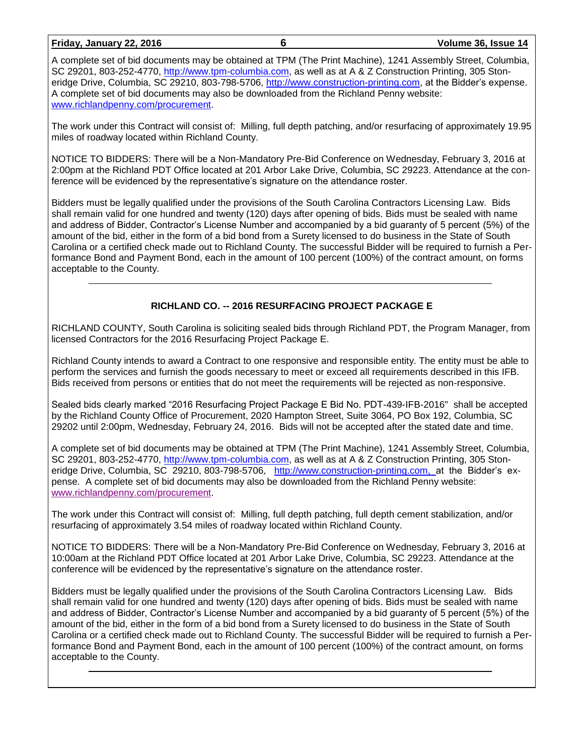**Friday, January 22, 2016 6 Volume 36, Issue 14**

A complete set of bid documents may be obtained at TPM (The Print Machine), 1241 Assembly Street, Columbia, SC 29201, 803-252-4770, [http://www.tpm-columbia.com,](http://www.tpm-columbia.com/) as well as at A & Z Construction Printing, 305 Stoneridge Drive, Columbia, SC 29210, 803-798-5706, [http://www.construction-printing.com,](http://www.construction-printing.com/) at the Bidder's expense. A complete set of bid documents may also be downloaded from the Richland Penny website: [www.richlandpenny.com/procurement.](http://www.richlandpenny.com/procurement)

The work under this Contract will consist of: Milling, full depth patching, and/or resurfacing of approximately 19.95 miles of roadway located within Richland County.

NOTICE TO BIDDERS: There will be a Non-Mandatory Pre-Bid Conference on Wednesday, February 3, 2016 at 2:00pm at the Richland PDT Office located at 201 Arbor Lake Drive, Columbia, SC 29223. Attendance at the conference will be evidenced by the representative's signature on the attendance roster.

Bidders must be legally qualified under the provisions of the South Carolina Contractors Licensing Law. Bids shall remain valid for one hundred and twenty (120) days after opening of bids. Bids must be sealed with name and address of Bidder, Contractor's License Number and accompanied by a bid guaranty of 5 percent (5%) of the amount of the bid, either in the form of a bid bond from a Surety licensed to do business in the State of South Carolina or a certified check made out to Richland County. The successful Bidder will be required to furnish a Performance Bond and Payment Bond, each in the amount of 100 percent (100%) of the contract amount, on forms acceptable to the County.

## **RICHLAND CO. -- 2016 RESURFACING PROJECT PACKAGE E**

RICHLAND COUNTY, South Carolina is soliciting sealed bids through Richland PDT, the Program Manager, from licensed Contractors for the 2016 Resurfacing Project Package E.

Richland County intends to award a Contract to one responsive and responsible entity. The entity must be able to perform the services and furnish the goods necessary to meet or exceed all requirements described in this IFB. Bids received from persons or entities that do not meet the requirements will be rejected as non-responsive.

Sealed bids clearly marked "2016 Resurfacing Project Package E Bid No. PDT-439-IFB-2016" shall be accepted by the Richland County Office of Procurement, 2020 Hampton Street, Suite 3064, PO Box 192, Columbia, SC 29202 until 2:00pm, Wednesday, February 24, 2016. Bids will not be accepted after the stated date and time.

A complete set of bid documents may be obtained at TPM (The Print Machine), 1241 Assembly Street, Columbia, SC 29201, 803-252-4770, [http://www.tpm-columbia.com,](http://www.tpm-columbia.com/) as well as at A & Z Construction Printing, 305 Stoneridge Drive, Columbia, SC 29210, 803-798-5706, [http://www.construction-printing.com, a](http://www.construction-printing.com/)t the Bidder's expense. A complete set of bid documents may also be downloaded from the Richland Penny website: [www.richlandpenny.com/procurement.](http://www.richlandpenny.com/procurement)

The work under this Contract will consist of: Milling, full depth patching, full depth cement stabilization, and/or resurfacing of approximately 3.54 miles of roadway located within Richland County.

NOTICE TO BIDDERS: There will be a Non-Mandatory Pre-Bid Conference on Wednesday, February 3, 2016 at 10:00am at the Richland PDT Office located at 201 Arbor Lake Drive, Columbia, SC 29223. Attendance at the conference will be evidenced by the representative's signature on the attendance roster.

Bidders must be legally qualified under the provisions of the South Carolina Contractors Licensing Law. Bids shall remain valid for one hundred and twenty (120) days after opening of bids. Bids must be sealed with name and address of Bidder, Contractor's License Number and accompanied by a bid guaranty of 5 percent (5%) of the amount of the bid, either in the form of a bid bond from a Surety licensed to do business in the State of South Carolina or a certified check made out to Richland County. The successful Bidder will be required to furnish a Performance Bond and Payment Bond, each in the amount of 100 percent (100%) of the contract amount, on forms acceptable to the County.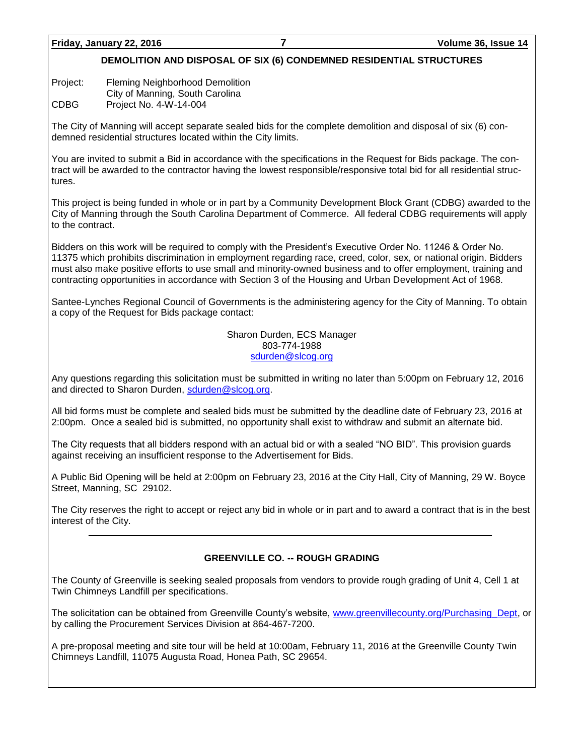# **DEMOLITION AND DISPOSAL OF SIX (6) CONDEMNED RESIDENTIAL STRUCTURES**

Project: Fleming Neighborhood Demolition

City of Manning, South Carolina

CDBG Project No. 4-W-14-004

The City of Manning will accept separate sealed bids for the complete demolition and disposal of six (6) condemned residential structures located within the City limits.

You are invited to submit a Bid in accordance with the specifications in the Request for Bids package. The contract will be awarded to the contractor having the lowest responsible/responsive total bid for all residential structures.

This project is being funded in whole or in part by a Community Development Block Grant (CDBG) awarded to the City of Manning through the South Carolina Department of Commerce. All federal CDBG requirements will apply to the contract.

Bidders on this work will be required to comply with the President's Executive Order No. 11246 & Order No. 11375 which prohibits discrimination in employment regarding race, creed, color, sex, or national origin. Bidders must also make positive efforts to use small and minority-owned business and to offer employment, training and contracting opportunities in accordance with Section 3 of the Housing and Urban Development Act of 1968.

Santee-Lynches Regional Council of Governments is the administering agency for the City of Manning. To obtain a copy of the Request for Bids package contact:

> Sharon Durden, ECS Manager 803-774-1988 [sdurden@slcog.org](mailto:sdurden@slcog.org)

Any questions regarding this solicitation must be submitted in writing no later than 5:00pm on February 12, 2016 and directed to Sharon Durden, [sdurden@slcog.org.](mailto:sdurden@slcog.org)

All bid forms must be complete and sealed bids must be submitted by the deadline date of February 23, 2016 at 2:00pm. Once a sealed bid is submitted, no opportunity shall exist to withdraw and submit an alternate bid.

The City requests that all bidders respond with an actual bid or with a sealed "NO BID". This provision guards against receiving an insufficient response to the Advertisement for Bids.

A Public Bid Opening will be held at 2:00pm on February 23, 2016 at the City Hall, City of Manning, 29 W. Boyce Street, Manning, SC 29102.

The City reserves the right to accept or reject any bid in whole or in part and to award a contract that is in the best interest of the City.

## **GREENVILLE CO. -- ROUGH GRADING**

The County of Greenville is seeking sealed proposals from vendors to provide rough grading of Unit 4, Cell 1 at Twin Chimneys Landfill per specifications.

The solicitation can be obtained from Greenville County's website, [www.greenvillecounty.org/Purchasing\\_Dept,](http://www.greenvillecounty.org/Purchasing_Dept) or by calling the Procurement Services Division at 864-467-7200.

A pre-proposal meeting and site tour will be held at 10:00am, February 11, 2016 at the Greenville County Twin Chimneys Landfill, 11075 Augusta Road, Honea Path, SC 29654.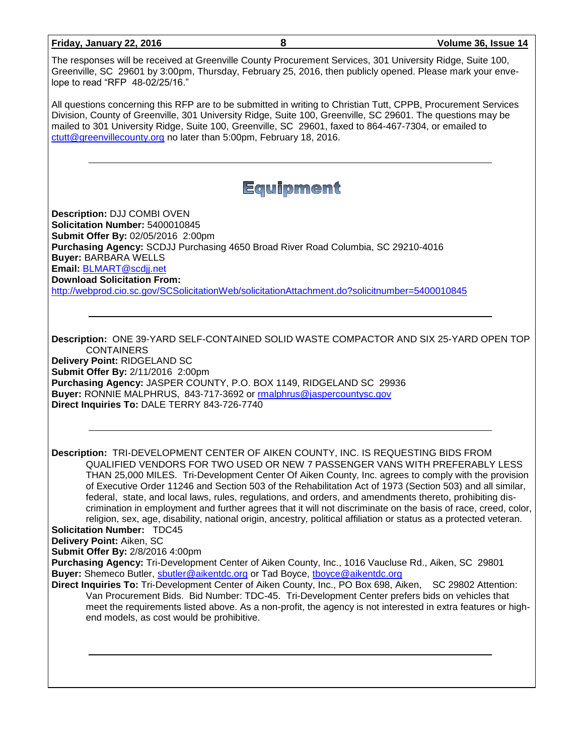| Friday, January 22, 2016                                                                                                                                                                                                                                                                                                                                                                                                                                                                                                                                                                                                                                                                                                                                                                                   | 8                                                                                                                                                                                                                                                                                                                                                                                                             | Volume 36, Issue 14 |  |  |  |  |
|------------------------------------------------------------------------------------------------------------------------------------------------------------------------------------------------------------------------------------------------------------------------------------------------------------------------------------------------------------------------------------------------------------------------------------------------------------------------------------------------------------------------------------------------------------------------------------------------------------------------------------------------------------------------------------------------------------------------------------------------------------------------------------------------------------|---------------------------------------------------------------------------------------------------------------------------------------------------------------------------------------------------------------------------------------------------------------------------------------------------------------------------------------------------------------------------------------------------------------|---------------------|--|--|--|--|
| The responses will be received at Greenville County Procurement Services, 301 University Ridge, Suite 100,<br>Greenville, SC 29601 by 3:00pm, Thursday, February 25, 2016, then publicly opened. Please mark your enve-<br>lope to read "RFP 48-02/25/16."                                                                                                                                                                                                                                                                                                                                                                                                                                                                                                                                                 |                                                                                                                                                                                                                                                                                                                                                                                                               |                     |  |  |  |  |
|                                                                                                                                                                                                                                                                                                                                                                                                                                                                                                                                                                                                                                                                                                                                                                                                            | All questions concerning this RFP are to be submitted in writing to Christian Tutt, CPPB, Procurement Services<br>Division, County of Greenville, 301 University Ridge, Suite 100, Greenville, SC 29601. The questions may be<br>mailed to 301 University Ridge, Suite 100, Greenville, SC 29601, faxed to 864-467-7304, or emailed to<br>ctutt@greenvillecounty.org no later than 5:00pm, February 18, 2016. |                     |  |  |  |  |
|                                                                                                                                                                                                                                                                                                                                                                                                                                                                                                                                                                                                                                                                                                                                                                                                            | <b>Equipment</b>                                                                                                                                                                                                                                                                                                                                                                                              |                     |  |  |  |  |
| Description: DJJ COMBI OVEN                                                                                                                                                                                                                                                                                                                                                                                                                                                                                                                                                                                                                                                                                                                                                                                |                                                                                                                                                                                                                                                                                                                                                                                                               |                     |  |  |  |  |
| Solicitation Number: 5400010845                                                                                                                                                                                                                                                                                                                                                                                                                                                                                                                                                                                                                                                                                                                                                                            |                                                                                                                                                                                                                                                                                                                                                                                                               |                     |  |  |  |  |
| Submit Offer By: 02/05/2016 2:00pm                                                                                                                                                                                                                                                                                                                                                                                                                                                                                                                                                                                                                                                                                                                                                                         |                                                                                                                                                                                                                                                                                                                                                                                                               |                     |  |  |  |  |
| <b>Buyer: BARBARA WELLS</b>                                                                                                                                                                                                                                                                                                                                                                                                                                                                                                                                                                                                                                                                                                                                                                                | Purchasing Agency: SCDJJ Purchasing 4650 Broad River Road Columbia, SC 29210-4016                                                                                                                                                                                                                                                                                                                             |                     |  |  |  |  |
| Email: BLMART@scdjj.net                                                                                                                                                                                                                                                                                                                                                                                                                                                                                                                                                                                                                                                                                                                                                                                    |                                                                                                                                                                                                                                                                                                                                                                                                               |                     |  |  |  |  |
| <b>Download Solicitation From:</b>                                                                                                                                                                                                                                                                                                                                                                                                                                                                                                                                                                                                                                                                                                                                                                         |                                                                                                                                                                                                                                                                                                                                                                                                               |                     |  |  |  |  |
|                                                                                                                                                                                                                                                                                                                                                                                                                                                                                                                                                                                                                                                                                                                                                                                                            | http://webprod.cio.sc.gov/SCSolicitationWeb/solicitationAttachment.do?solicitnumber=5400010845                                                                                                                                                                                                                                                                                                                |                     |  |  |  |  |
|                                                                                                                                                                                                                                                                                                                                                                                                                                                                                                                                                                                                                                                                                                                                                                                                            |                                                                                                                                                                                                                                                                                                                                                                                                               |                     |  |  |  |  |
| Description: ONE 39-YARD SELF-CONTAINED SOLID WASTE COMPACTOR AND SIX 25-YARD OPEN TOP<br><b>CONTAINERS</b><br>Delivery Point: RIDGELAND SC<br>Submit Offer By: 2/11/2016 2:00pm<br>Purchasing Agency: JASPER COUNTY, P.O. BOX 1149, RIDGELAND SC 29936<br>Buyer: RONNIE MALPHRUS, 843-717-3692 or rmalphrus@jaspercountysc.gov<br>Direct Inquiries To: DALE TERRY 843-726-7740                                                                                                                                                                                                                                                                                                                                                                                                                            |                                                                                                                                                                                                                                                                                                                                                                                                               |                     |  |  |  |  |
|                                                                                                                                                                                                                                                                                                                                                                                                                                                                                                                                                                                                                                                                                                                                                                                                            |                                                                                                                                                                                                                                                                                                                                                                                                               |                     |  |  |  |  |
| Description: TRI-DEVELOPMENT CENTER OF AIKEN COUNTY, INC. IS REQUESTING BIDS FROM<br>QUALIFIED VENDORS FOR TWO USED OR NEW 7 PASSENGER VANS WITH PREFERABLY LESS<br>THAN 25,000 MILES. Tri-Development Center Of Aiken County, Inc. agrees to comply with the provision<br>of Executive Order 11246 and Section 503 of the Rehabilitation Act of 1973 (Section 503) and all similar,<br>federal, state, and local laws, rules, regulations, and orders, and amendments thereto, prohibiting dis-<br>crimination in employment and further agrees that it will not discriminate on the basis of race, creed, color,<br>religion, sex, age, disability, national origin, ancestry, political affiliation or status as a protected veteran.<br><b>Solicitation Number: TDC45</b><br>Delivery Point: Aiken, SC |                                                                                                                                                                                                                                                                                                                                                                                                               |                     |  |  |  |  |
| Submit Offer By: 2/8/2016 4:00pm                                                                                                                                                                                                                                                                                                                                                                                                                                                                                                                                                                                                                                                                                                                                                                           |                                                                                                                                                                                                                                                                                                                                                                                                               |                     |  |  |  |  |
|                                                                                                                                                                                                                                                                                                                                                                                                                                                                                                                                                                                                                                                                                                                                                                                                            | Purchasing Agency: Tri-Development Center of Aiken County, Inc., 1016 Vaucluse Rd., Aiken, SC 29801                                                                                                                                                                                                                                                                                                           |                     |  |  |  |  |
| Buyer: Shemeco Butler, sbutler@aikentdc.org or Tad Boyce, thoyce@aikentdc.org<br>Direct Inquiries To: Tri-Development Center of Aiken County, Inc., PO Box 698, Aiken, SC 29802 Attention:<br>Van Procurement Bids. Bid Number: TDC-45. Tri-Development Center prefers bids on vehicles that<br>meet the requirements listed above. As a non-profit, the agency is not interested in extra features or high-<br>end models, as cost would be prohibitive.                                                                                                                                                                                                                                                                                                                                                  |                                                                                                                                                                                                                                                                                                                                                                                                               |                     |  |  |  |  |
|                                                                                                                                                                                                                                                                                                                                                                                                                                                                                                                                                                                                                                                                                                                                                                                                            |                                                                                                                                                                                                                                                                                                                                                                                                               |                     |  |  |  |  |
|                                                                                                                                                                                                                                                                                                                                                                                                                                                                                                                                                                                                                                                                                                                                                                                                            |                                                                                                                                                                                                                                                                                                                                                                                                               |                     |  |  |  |  |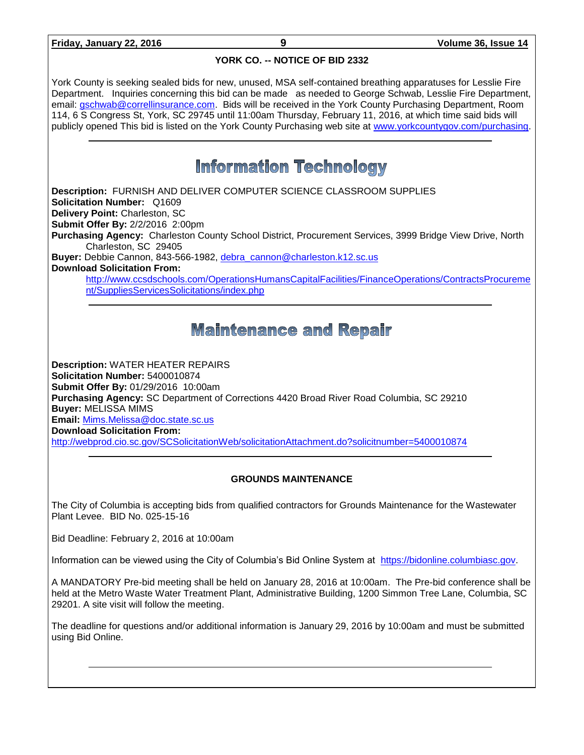### **YORK CO. -- NOTICE OF BID 2332**

York County is seeking sealed bids for new, unused, MSA self-contained breathing apparatuses for Lesslie Fire Department. Inquiries concerning this bid can be made as needed to George Schwab, Lesslie Fire Department, email: [gschwab@correllinsurance.com.](mailto:gschwab@correllinsurance.com) Bids will be received in the York County Purchasing Department, Room 114, 6 S Congress St, York, SC 29745 until 11:00am Thursday, February 11, 2016, at which time said bids will publicly opened This bid is listed on the York County Purchasing web site at [www.yorkcountygov.com/purchasing.](http://www.yorkcountygov.com/purchasing)

# **Information Technology**

**Description:** FURNISH AND DELIVER COMPUTER SCIENCE CLASSROOM SUPPLIES **Solicitation Number:** Q1609 **Delivery Point:** Charleston, SC **Submit Offer By:** 2/2/2016 2:00pm **Purchasing Agency:** Charleston County School District, Procurement Services, 3999 Bridge View Drive, North Charleston, SC 29405 **Buyer:** Debbie Cannon, 843-566-1982, [debra\\_cannon@charleston.k12.sc.us](mailto:debra_cannon@charleston.k12.sc.us) **Download Solicitation From:** [http://www.ccsdschools.com/OperationsHumansCapitalFacilities/FinanceOperations/ContractsProcureme](http://www.ccsdschools.com/OperationsHumansCapitalFacilities/FinanceOperations/ContractsProcurement/SuppliesServicesSolicitations/index.php) [nt/SuppliesServicesSolicitations/index.php](http://www.ccsdschools.com/OperationsHumansCapitalFacilities/FinanceOperations/ContractsProcurement/SuppliesServicesSolicitations/index.php)

# **Maintenance and Repair**

**Description:** WATER HEATER REPAIRS **Solicitation Number:** 5400010874 **Submit Offer By:** 01/29/2016 10:00am **Purchasing Agency:** SC Department of Corrections 4420 Broad River Road Columbia, SC 29210 **Buyer:** MELISSA MIMS **Email:** [Mims.Melissa@doc.state.sc.us](mailto:Mims.Melissa@doc.state.sc.us) **Download Solicitation From:**  <http://webprod.cio.sc.gov/SCSolicitationWeb/solicitationAttachment.do?solicitnumber=5400010874>

## **GROUNDS MAINTENANCE**

The City of Columbia is accepting bids from qualified contractors for Grounds Maintenance for the Wastewater Plant Levee. BID No. 025-15-16

Bid Deadline: February 2, 2016 at 10:00am

Information can be viewed using the City of Columbia's Bid Online System at [https://bidonline.columbiasc.gov.](https://bidonline.columbiasc.gov/)

A MANDATORY Pre-bid meeting shall be held on January 28, 2016 at 10:00am. The Pre-bid conference shall be held at the Metro Waste Water Treatment Plant, Administrative Building, 1200 Simmon Tree Lane, Columbia, SC 29201. A site visit will follow the meeting.

The deadline for questions and/or additional information is January 29, 2016 by 10:00am and must be submitted using Bid Online.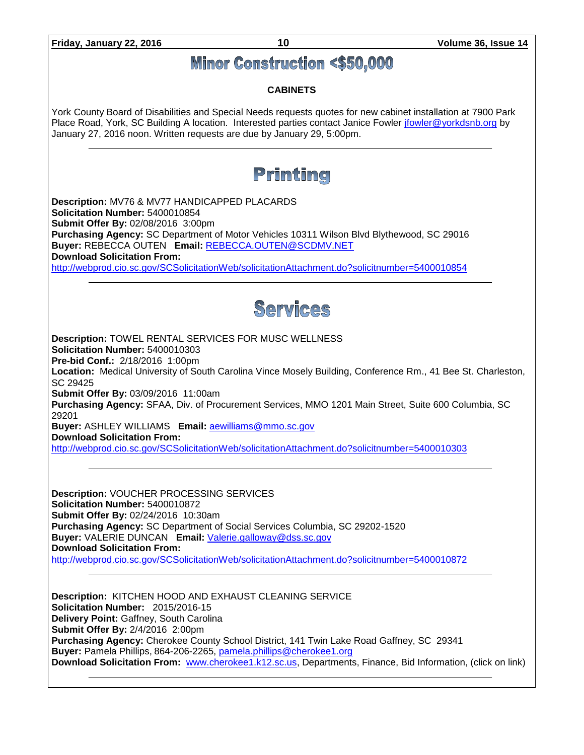

**Download Solicitation From:** [www.cherokee1.k12.sc.us,](http://www.cherokee1.k12.sc.us/) Departments, Finance, Bid Information, (click on link)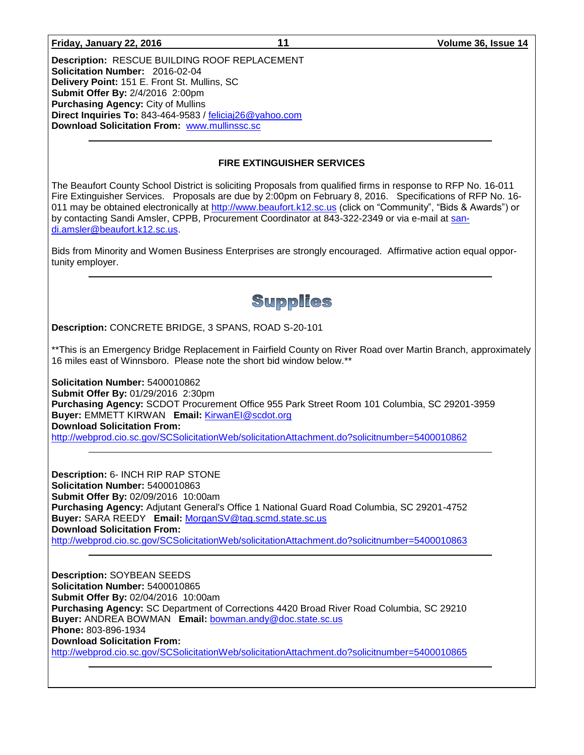**Friday, January 22, 2016 11 Volume 36, Issue 14**

**Description:** RESCUE BUILDING ROOF REPLACEMENT **Solicitation Number:** 2016-02-04 **Delivery Point:** 151 E. Front St. Mullins, SC **Submit Offer By:** 2/4/2016 2:00pm **Purchasing Agency:** City of Mullins **Direct Inquiries To:** 843-464-9583 / [feliciaj26@yahoo.com](mailto:feliciaj26@yahoo.com) **Download Solicitation From:** [www.mullinssc.sc](http://www.mullinssc.sc/)

#### **FIRE EXTINGUISHER SERVICES**

The Beaufort County School District is soliciting Proposals from qualified firms in response to RFP No. 16-011 Fire Extinguisher Services. Proposals are due by 2:00pm on February 8, 2016. Specifications of RFP No. 16 011 may be obtained electronically at [http://www.beaufort.k12.sc.us](http://www.beaufort.k12.sc.us/) (click on "Community", "Bids & Awards") or by contacting Sandi Amsler, CPPB, Procurement Coordinator at 843-322-2349 or via e-mail at [san](mailto:sandi.amsler@beaufort.k12.sc.us)[di.amsler@beaufort.k12.sc.us.](mailto:sandi.amsler@beaufort.k12.sc.us)

Bids from Minority and Women Business Enterprises are strongly encouraged. Affirmative action equal opportunity employer.

# **Supplies**

**Description:** CONCRETE BRIDGE, 3 SPANS, ROAD S-20-101

\*\*This is an Emergency Bridge Replacement in Fairfield County on River Road over Martin Branch, approximately 16 miles east of Winnsboro. Please note the short bid window below.\*\*

**Solicitation Number:** 5400010862 **Submit Offer By:** 01/29/2016 2:30pm **Purchasing Agency:** SCDOT Procurement Office 955 Park Street Room 101 Columbia, SC 29201-3959 **Buyer:** EMMETT KIRWAN **Email:** [KirwanEI@scdot.org](mailto:KirwanEI@scdot.org) **Download Solicitation From:**  <http://webprod.cio.sc.gov/SCSolicitationWeb/solicitationAttachment.do?solicitnumber=5400010862>

**Description:** 6- INCH RIP RAP STONE **Solicitation Number:** 5400010863 **Submit Offer By:** 02/09/2016 10:00am **Purchasing Agency:** Adjutant General's Office 1 National Guard Road Columbia, SC 29201-4752 **Buyer:** SARA REEDY **Email:** [MorganSV@tag.scmd.state.sc.us](mailto:MorganSV@tag.scmd.state.sc.us) **Download Solicitation From:**  <http://webprod.cio.sc.gov/SCSolicitationWeb/solicitationAttachment.do?solicitnumber=5400010863>

**Description:** SOYBEAN SEEDS **Solicitation Number:** 5400010865 **Submit Offer By:** 02/04/2016 10:00am **Purchasing Agency:** SC Department of Corrections 4420 Broad River Road Columbia, SC 29210 **Buyer:** ANDREA BOWMAN **Email:** [bowman.andy@doc.state.sc.us](mailto:bowman.andy@doc.state.sc.us) **Phone:** 803-896-1934 **Download Solicitation From:**  <http://webprod.cio.sc.gov/SCSolicitationWeb/solicitationAttachment.do?solicitnumber=5400010865>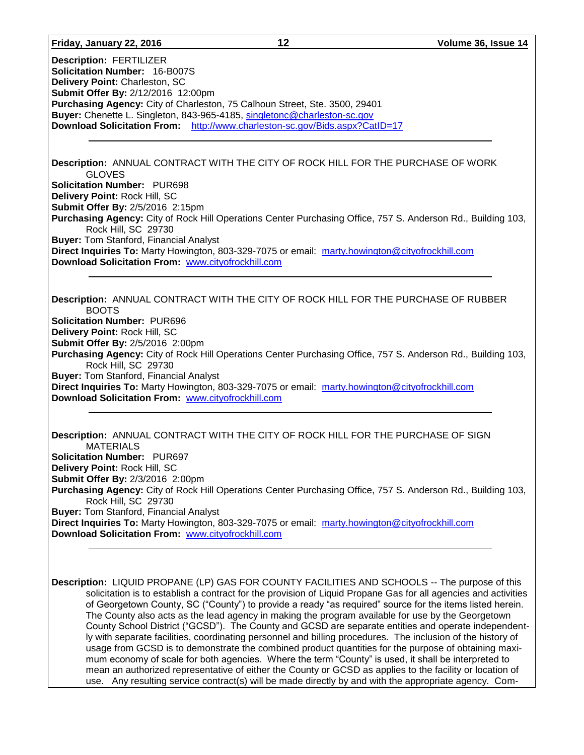#### **Friday, January 22, 2016 12 Volume 36, Issue 14**

**Description:** FERTILIZER **Solicitation Number:** 16-B007S **Delivery Point:** Charleston, SC **Submit Offer By:** 2/12/2016 12:00pm **Purchasing Agency:** City of Charleston, 75 Calhoun Street, Ste. 3500, 29401 **Buyer:** Chenette L. Singleton, 843-965-4185, [singletonc@charleston-sc.gov](mailto:singletonc@charleston-sc.gov) **Download Solicitation From:** <http://www.charleston-sc.gov/Bids.aspx?CatID=17>

#### **Description:** ANNUAL CONTRACT WITH THE CITY OF ROCK HILL FOR THE PURCHASE OF WORK GLOVES **Solicitation Number:** PUR698 **Delivery Point:** Rock Hill, SC **Submit Offer By:** 2/5/2016 2:15pm

**Purchasing Agency:** City of Rock Hill Operations Center Purchasing Office, 757 S. Anderson Rd., Building 103, Rock Hill, SC 29730 **Buyer:** Tom Stanford, Financial Analyst

**Direct Inquiries To:** Marty Howington, 803-329-7075 or email: [marty.howington@cityofrockhill.com](mailto:marty.howington@cityofrockhill.com) **Download Solicitation From:** [www.cityofrockhill.com](http://www.cityofrockhill.com/)

**Description:** ANNUAL CONTRACT WITH THE CITY OF ROCK HILL FOR THE PURCHASE OF RUBBER BOOTS **Solicitation Number:** PUR696 **Delivery Point:** Rock Hill, SC **Submit Offer By:** 2/5/2016 2:00pm **Purchasing Agency:** City of Rock Hill Operations Center Purchasing Office, 757 S. Anderson Rd., Building 103, Rock Hill, SC 29730 **Buyer:** Tom Stanford, Financial Analyst **Direct Inquiries To:** Marty Howington, 803-329-7075 or email: [marty.howington@cityofrockhill.com](mailto:marty.howington@cityofrockhill.com) **Download Solicitation From:** [www.cityofrockhill.com](http://www.cityofrockhill.com/)

#### **Description:** ANNUAL CONTRACT WITH THE CITY OF ROCK HILL FOR THE PURCHASE OF SIGN MATERIALS **Solicitation Number:** PUR697 **Delivery Point:** Rock Hill, SC **Submit Offer By:** 2/3/2016 2:00pm **Purchasing Agency:** City of Rock Hill Operations Center Purchasing Office, 757 S. Anderson Rd., Building 103, Rock Hill, SC 29730 **Buyer:** Tom Stanford, Financial Analyst **Direct Inquiries To:** Marty Howington, 803-329-7075 or email: [marty.howington@cityofrockhill.com](mailto:marty.howington@cityofrockhill.com) **Download Solicitation From:** [www.cityofrockhill.com](http://www.cityofrockhill.com/)

**Description:** LIQUID PROPANE (LP) GAS FOR COUNTY FACILITIES AND SCHOOLS -- The purpose of this solicitation is to establish a contract for the provision of Liquid Propane Gas for all agencies and activities of Georgetown County, SC ("County") to provide a ready "as required" source for the items listed herein. The County also acts as the lead agency in making the program available for use by the Georgetown County School District ("GCSD"). The County and GCSD are separate entities and operate independently with separate facilities, coordinating personnel and billing procedures. The inclusion of the history of usage from GCSD is to demonstrate the combined product quantities for the purpose of obtaining maximum economy of scale for both agencies. Where the term "County" is used, it shall be interpreted to mean an authorized representative of either the County or GCSD as applies to the facility or location of use. Any resulting service contract(s) will be made directly by and with the appropriate agency. Com-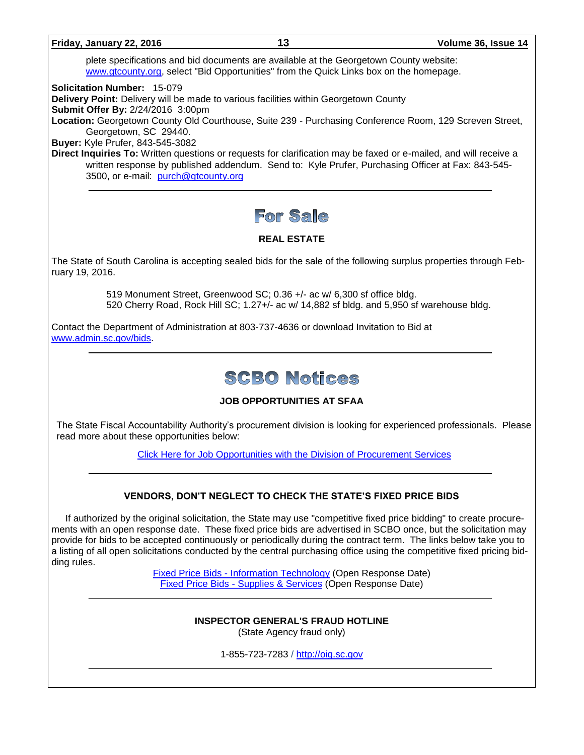#### **Friday, January 22, 2016 13 Volume 36, Issue 14**

plete specifications and bid documents are available at the Georgetown County website: [www.gtcounty.org,](http://www.gtcounty.org/) select "Bid Opportunities" from the Quick Links box on the homepage.

**Solicitation Number:** 15-079

**Delivery Point:** Delivery will be made to various facilities within Georgetown County

**Submit Offer By:** 2/24/2016 3:00pm

**Location:** Georgetown County Old Courthouse, Suite 239 - Purchasing Conference Room, 129 Screven Street, Georgetown, SC 29440.

**Buyer:** Kyle Prufer, 843-545-3082

**Direct Inquiries To:** Written questions or requests for clarification may be faxed or e-mailed, and will receive a written response by published addendum. Send to: Kyle Prufer, Purchasing Officer at Fax: 843-545- 3500, or e-mail: [purch@gtcounty.org](mailto:purch@gtcounty.org)

# For Sale

# **REAL ESTATE**

The State of South Carolina is accepting sealed bids for the sale of the following surplus properties through February 19, 2016.

> 519 Monument Street, Greenwood SC; 0.36 +/- ac w/ 6,300 sf office bldg. 520 Cherry Road, Rock Hill SC; 1.27+/- ac w/ 14,882 sf bldg. and 5,950 sf warehouse bldg.

Contact the Department of Administration at 803-737-4636 or download Invitation to Bid at [www.admin.sc.gov/bids.](http://www.admin.sc.gov/bids)

# **SCBO Notices**

# **JOB OPPORTUNITIES AT SFAA**

The State Fiscal Accountability Authority's procurement division is looking for experienced professionals. Please read more about these opportunities below:

[Click Here for Job Opportunities with the Division of Procurement](http://procurement.sc.gov/webfiles/MMO_scbo/SCBO%20Online/SFAA_job_opportunities.pdf) Services

# **VENDORS, DON'T NEGLECT TO CHECK THE STATE'S FIXED PRICE BIDS**

If authorized by the original solicitation, the State may use "competitive fixed price bidding" to create procurements with an open response date. These fixed price bids are advertised in SCBO once, but the solicitation may provide for bids to be accepted continuously or periodically during the contract term. The links below take you to a listing of all open solicitations conducted by the central purchasing office using the competitive fixed pricing bidding rules.

> Fixed Price Bids - [Information Technology](http://www.mmo.sc.gov/PS/vendor/PS-vendor-fixed-price-bids-it.phtm) (Open Response Date) Fixed Price Bids - [Supplies & Services](http://www.mmo.sc.gov/PS/vendor/PS-vendor-fixed-price-bids-ss.phtm) (Open Response Date)

#### **INSPECTOR GENERAL'S FRAUD HOTLINE** (State Agency fraud only)

1-855-723-7283 / [http://oig.sc.gov](http://oig.sc.gov/)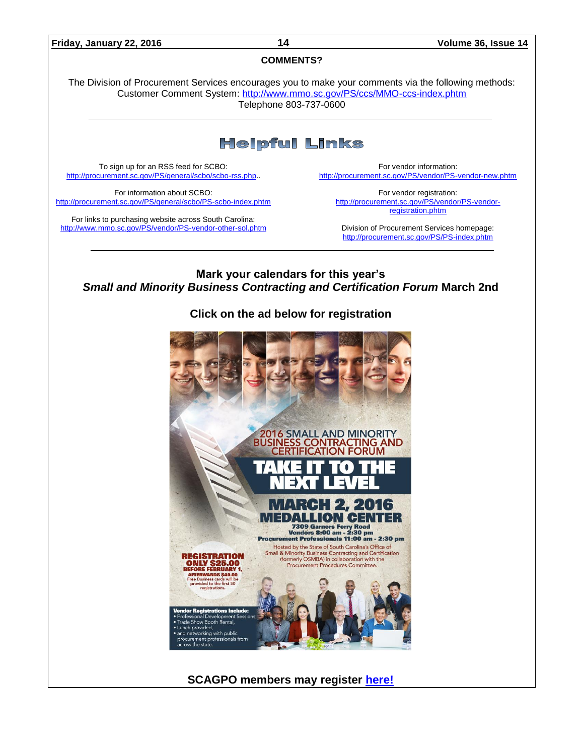#### **Friday, January 22, 2016 14 Volume 36, Issue 14**

#### **COMMENTS?**

The Division of Procurement Services encourages you to make your comments via the following methods: Customer Comment System:<http://www.mmo.sc.gov/PS/ccs/MMO-ccs-index.phtm> Telephone 803-737-0600

# **Helpful Links**

To sign up for an RSS feed for SCBO: [http://procurement.sc.gov/PS/general/scbo/scbo-rss.php.](http://procurement.sc.gov/PS/general/scbo/scbo-rss.php).

For information about SCBO: <http://procurement.sc.gov/PS/general/scbo/PS-scbo-index.phtm>

For links to purchasing website across South Carolina: <http://www.mmo.sc.gov/PS/vendor/PS-vendor-other-sol.phtm>

For vendor information: <http://procurement.sc.gov/PS/vendor/PS-vendor-new.phtm>

For vendor registration: [http://procurement.sc.gov/PS/vendor/PS-vendor](http://procurement.sc.gov/PS/vendor/PS-vendor-registration.phtm)[registration.phtm](http://procurement.sc.gov/PS/vendor/PS-vendor-registration.phtm)

Division of Procurement Services homepage: <http://procurement.sc.gov/PS/PS-index.phtm>

**Mark your calendars for this year's**  *Small and Minority Business Contracting and Certification Forum* **March 2nd**

**Click on the ad below for registration** 



**SCAGPO members may register [here!](https://scagpo.starchapter.com/meet-reg1.php?id=35)**